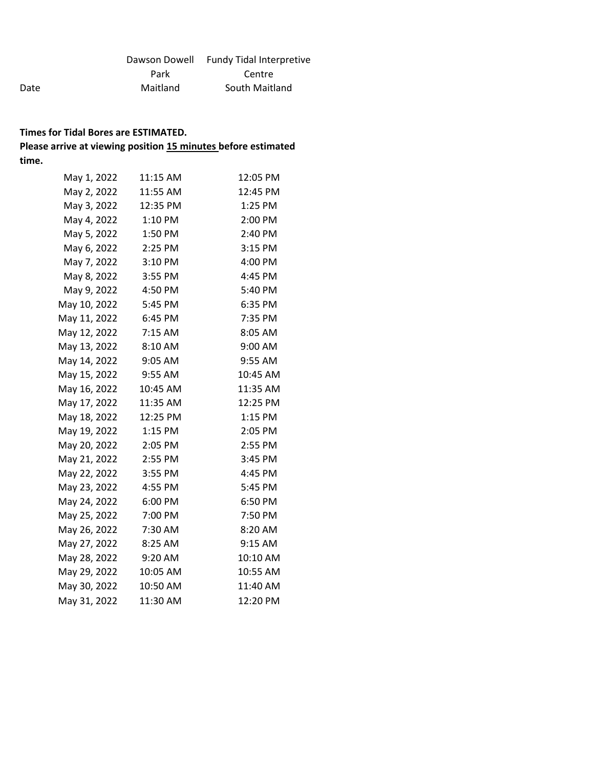|          | Dawson Dowell Fundy Tidal Interpretive |
|----------|----------------------------------------|
| Park     | Centre                                 |
| Maitland | South Maitland                         |

Date

| May 1, 2022  | 11:15 AM | 12:05 PM |
|--------------|----------|----------|
| May 2, 2022  | 11:55 AM | 12:45 PM |
| May 3, 2022  | 12:35 PM | 1:25 PM  |
| May 4, 2022  | 1:10 PM  | 2:00 PM  |
| May 5, 2022  | 1:50 PM  | 2:40 PM  |
| May 6, 2022  | 2:25 PM  | 3:15 PM  |
| May 7, 2022  | 3:10 PM  | 4:00 PM  |
| May 8, 2022  | 3:55 PM  | 4:45 PM  |
| May 9, 2022  | 4:50 PM  | 5:40 PM  |
| May 10, 2022 | 5:45 PM  | 6:35 PM  |
| May 11, 2022 | 6:45 PM  | 7:35 PM  |
| May 12, 2022 | 7:15 AM  | 8:05 AM  |
| May 13, 2022 | 8:10 AM  | 9:00 AM  |
| May 14, 2022 | 9:05 AM  | 9:55 AM  |
| May 15, 2022 | 9:55 AM  | 10:45 AM |
| May 16, 2022 | 10:45 AM | 11:35 AM |
| May 17, 2022 | 11:35 AM | 12:25 PM |
| May 18, 2022 | 12:25 PM | 1:15 PM  |
| May 19, 2022 | 1:15 PM  | 2:05 PM  |
| May 20, 2022 | 2:05 PM  | 2:55 PM  |
| May 21, 2022 | 2:55 PM  | 3:45 PM  |
| May 22, 2022 | 3:55 PM  | 4:45 PM  |
| May 23, 2022 | 4:55 PM  | 5:45 PM  |
| May 24, 2022 | 6:00 PM  | 6:50 PM  |
| May 25, 2022 | 7:00 PM  | 7:50 PM  |
| May 26, 2022 | 7:30 AM  | 8:20 AM  |
| May 27, 2022 | 8:25 AM  | 9:15 AM  |
| May 28, 2022 | 9:20 AM  | 10:10 AM |
| May 29, 2022 | 10:05 AM | 10:55 AM |
| May 30, 2022 | 10:50 AM | 11:40 AM |
| May 31, 2022 | 11:30 AM | 12:20 PM |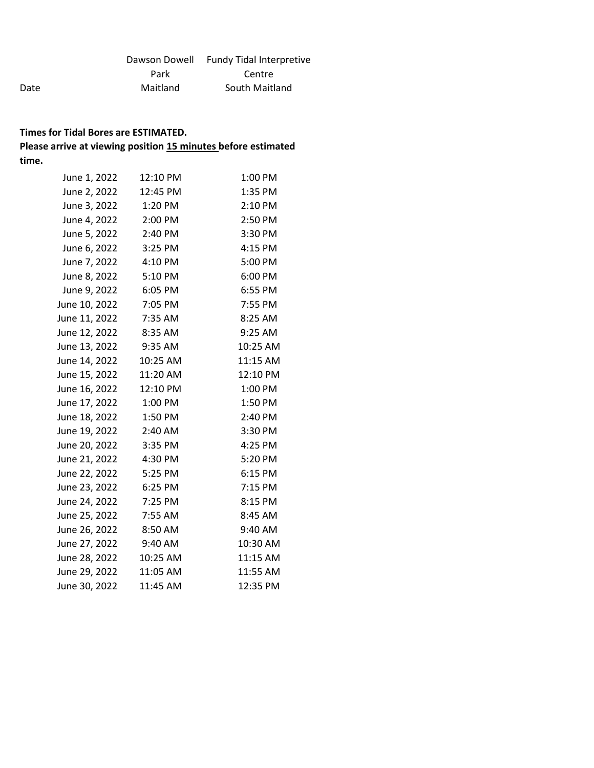|          | Dawson Dowell Fundy Tidal Interpretive |
|----------|----------------------------------------|
| Park     | Centre                                 |
| Maitland | South Maitland                         |

Date

| June 1, 2022             | 12:10 PM | 1:00 PM  |
|--------------------------|----------|----------|
| June 2, 2022 12:45 PM    |          | 1:35 PM  |
| June 3, 2022 1:20 PM     |          | 2:10 PM  |
| June 4, 2022             | 2:00 PM  | 2:50 PM  |
| June 5, 2022 2:40 PM     |          | 3:30 PM  |
| June 6, 2022             | 3:25 PM  | 4:15 PM  |
| June 7, 2022 4:10 PM     |          | 5:00 PM  |
| June 8, 2022             | 5:10 PM  | 6:00 PM  |
| June 9, 2022 6:05 PM     |          | 6:55 PM  |
| June 10, 2022            | 7:05 PM  | 7:55 PM  |
| June 11, 2022 7:35 AM    |          | 8:25 AM  |
| June 12, 2022 8:35 AM    |          | 9:25 AM  |
| June 13, 2022 9:35 AM    |          | 10:25 AM |
| June 14, 2022   10:25 AM |          | 11:15 AM |
| June 15, 2022 11:20 AM   |          | 12:10 PM |
| June 16, 2022 12:10 PM   |          | 1:00 PM  |
| June 17, 2022 1:00 PM    |          | 1:50 PM  |
| June 18, 2022            | 1:50 PM  | 2:40 PM  |
| June 19, 2022 2:40 AM    |          | 3:30 PM  |
| June 20, 2022            | 3:35 PM  | 4:25 PM  |
| June 21, 2022 4:30 PM    |          | 5:20 PM  |
| June 22, 2022            | 5:25 PM  | 6:15 PM  |
| June 23, 2022            | 6:25 PM  | 7:15 PM  |
| June 24, 2022            | 7:25 PM  | 8:15 PM  |
| June 25, 2022 7:55 AM    |          | 8:45 AM  |
| June 26, 2022            | 8:50 AM  | 9:40 AM  |
| June 27, 2022 9:40 AM    |          | 10:30 AM |
| June 28, 2022 10:25 AM   |          | 11:15 AM |
| June 29, 2022 11:05 AM   |          | 11:55 AM |
| June 30, 2022            | 11:45 AM | 12:35 PM |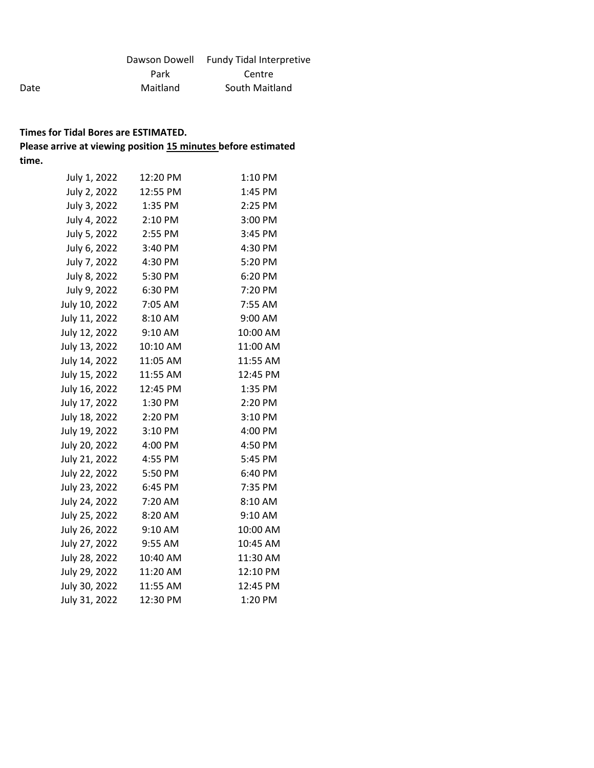|          | Dawson Dowell Fundy Tidal Interpretive |
|----------|----------------------------------------|
| Park     | Centre                                 |
| Maitland | South Maitland                         |

Date

| July 1, 2022  | 12:20 PM | 1:10 PM  |
|---------------|----------|----------|
| July 2, 2022  | 12:55 PM | 1:45 PM  |
| July 3, 2022  | 1:35 PM  | 2:25 PM  |
| July 4, 2022  | 2:10 PM  | 3:00 PM  |
| July 5, 2022  | 2:55 PM  | 3:45 PM  |
| July 6, 2022  | 3:40 PM  | 4:30 PM  |
| July 7, 2022  | 4:30 PM  | 5:20 PM  |
| July 8, 2022  | 5:30 PM  | 6:20 PM  |
| July 9, 2022  | 6:30 PM  | 7:20 PM  |
| July 10, 2022 | 7:05 AM  | 7:55 AM  |
| July 11, 2022 | 8:10 AM  | 9:00 AM  |
| July 12, 2022 | 9:10 AM  | 10:00 AM |
| July 13, 2022 | 10:10 AM | 11:00 AM |
| July 14, 2022 | 11:05 AM | 11:55 AM |
| July 15, 2022 | 11:55 AM | 12:45 PM |
| July 16, 2022 | 12:45 PM | 1:35 PM  |
| July 17, 2022 | 1:30 PM  | 2:20 PM  |
| July 18, 2022 | 2:20 PM  | 3:10 PM  |
| July 19, 2022 | 3:10 PM  | 4:00 PM  |
| July 20, 2022 | 4:00 PM  | 4:50 PM  |
| July 21, 2022 | 4:55 PM  | 5:45 PM  |
| July 22, 2022 | 5:50 PM  | 6:40 PM  |
| July 23, 2022 | 6:45 PM  | 7:35 PM  |
| July 24, 2022 | 7:20 AM  | 8:10 AM  |
| July 25, 2022 | 8:20 AM  | 9:10 AM  |
| July 26, 2022 | 9:10 AM  | 10:00 AM |
| July 27, 2022 | 9:55 AM  | 10:45 AM |
| July 28, 2022 | 10:40 AM | 11:30 AM |
| July 29, 2022 | 11:20 AM | 12:10 PM |
| July 30, 2022 | 11:55 AM | 12:45 PM |
| July 31, 2022 | 12:30 PM | 1:20 PM  |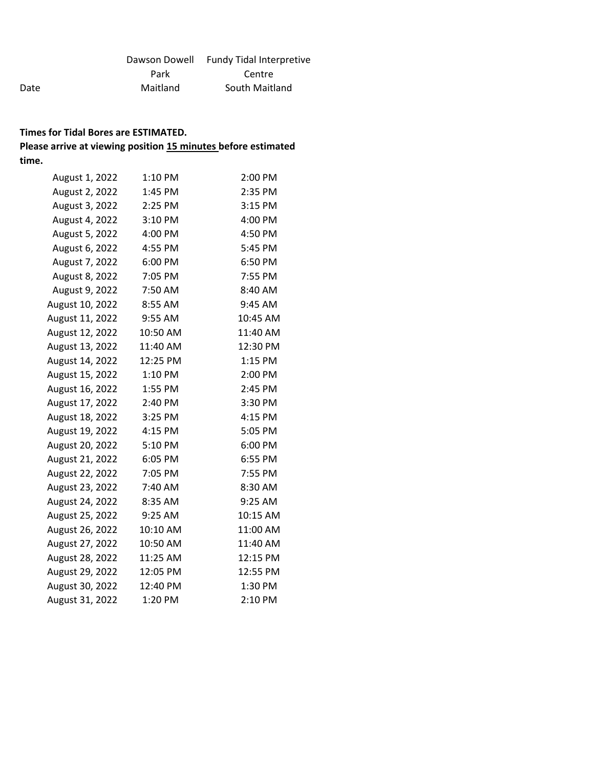|          | Dawson Dowell Fundy Tidal Interpretive |
|----------|----------------------------------------|
| Park     | Centre                                 |
| Maitland | South Maitland                         |

#### **Times for Tidal Bores are ESTIMATED. Please arrive at viewing position 15 minutes before estimated**

Date

**time.**

August 1, 2022 1:10 PM 2:00 PM August 2, 2022 1:45 PM 2:35 PM August 3, 2022 2:25 PM 3:15 PM August 4, 2022 3:10 PM 4:00 PM August 5, 2022 4:00 PM 4:50 PM August 6, 2022 4:55 PM 5:45 PM August 7, 2022 6:00 PM 6:50 PM August 8, 2022 7:05 PM 7:55 PM August 9, 2022 7:50 AM 8:40 AM August 10, 2022 8:55 AM 9:45 AM August 11, 2022 9:55 AM 10:45 AM August 12, 2022 10:50 AM 11:40 AM August 13, 2022 11:40 AM 12:30 PM August 14, 2022 12:25 PM 1:15 PM August 15, 2022 1:10 PM 2:00 PM August 16, 2022 1:55 PM 2:45 PM August 17, 2022 2:40 PM 3:30 PM August 18, 2022 3:25 PM 4:15 PM August 19, 2022 4:15 PM 5:05 PM August 20, 2022 5:10 PM 6:00 PM August 21, 2022 6:05 PM 6:55 PM August 22, 2022 7:05 PM 7:55 PM August 23, 2022 7:40 AM 8:30 AM August 24, 2022 8:35 AM 9:25 AM August 25, 2022 9:25 AM 10:15 AM August 26, 2022 10:10 AM 11:00 AM August 27, 2022 10:50 AM 11:40 AM August 28, 2022 11:25 AM 12:15 PM August 29, 2022 12:05 PM 12:55 PM August 30, 2022 12:40 PM 1:30 PM August 31, 2022 1:20 PM 2:10 PM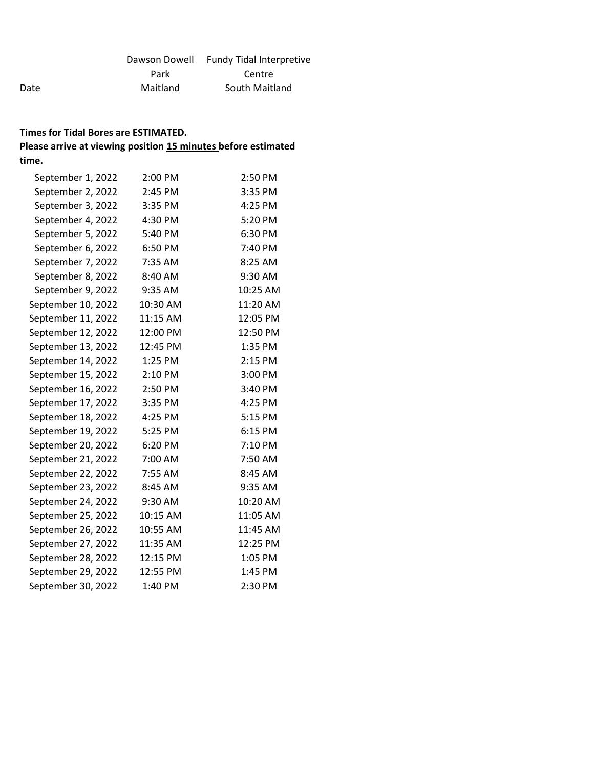|          | Dawson Dowell Fundy Tidal Interpretive |
|----------|----------------------------------------|
| Park     | Centre                                 |
| Maitland | South Maitland                         |

Date

| September 1, 2022  | 2:00 PM  | 2:50 PM  |
|--------------------|----------|----------|
| September 2, 2022  | 2:45 PM  | 3:35 PM  |
| September 3, 2022  | 3:35 PM  | 4:25 PM  |
| September 4, 2022  | 4:30 PM  | 5:20 PM  |
| September 5, 2022  | 5:40 PM  | 6:30 PM  |
| September 6, 2022  | 6:50 PM  | 7:40 PM  |
| September 7, 2022  | 7:35 AM  | 8:25 AM  |
| September 8, 2022  | 8:40 AM  | 9:30 AM  |
| September 9, 2022  | 9:35 AM  | 10:25 AM |
| September 10, 2022 | 10:30 AM | 11:20 AM |
| September 11, 2022 | 11:15 AM | 12:05 PM |
| September 12, 2022 | 12:00 PM | 12:50 PM |
| September 13, 2022 | 12:45 PM | 1:35 PM  |
| September 14, 2022 | 1:25 PM  | 2:15 PM  |
| September 15, 2022 | 2:10 PM  | 3:00 PM  |
| September 16, 2022 | 2:50 PM  | 3:40 PM  |
| September 17, 2022 | 3:35 PM  | 4:25 PM  |
| September 18, 2022 | 4:25 PM  | 5:15 PM  |
| September 19, 2022 | 5:25 PM  | 6:15 PM  |
| September 20, 2022 | 6:20 PM  | 7:10 PM  |
| September 21, 2022 | 7:00 AM  | 7:50 AM  |
| September 22, 2022 | 7:55 AM  | 8:45 AM  |
| September 23, 2022 | 8:45 AM  | 9:35 AM  |
| September 24, 2022 | 9:30 AM  | 10:20 AM |
| September 25, 2022 | 10:15 AM | 11:05 AM |
| September 26, 2022 | 10:55 AM | 11:45 AM |
| September 27, 2022 | 11:35 AM | 12:25 PM |
| September 28, 2022 | 12:15 PM | 1:05 PM  |
| September 29, 2022 | 12:55 PM | 1:45 PM  |
| September 30, 2022 | 1:40 PM  | 2:30 PM  |